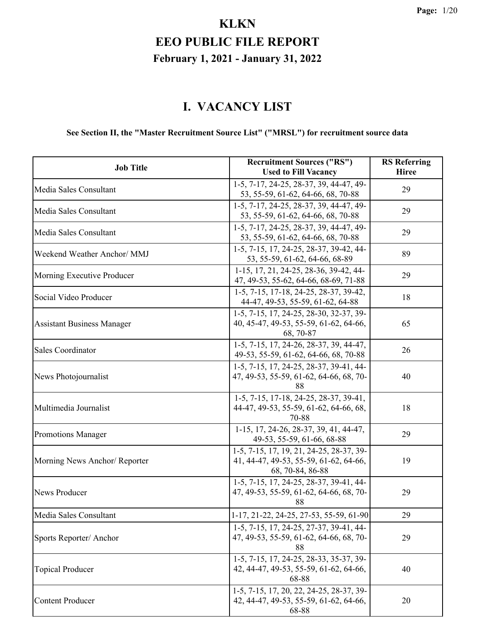#### **I. VACANCY LIST**

#### **See Section II, the "Master Recruitment Source List" ("MRSL") for recruitment source data**

| <b>Job Title</b>                  | <b>Recruitment Sources ("RS")</b><br><b>Used to Fill Vacancy</b>                                       | <b>RS</b> Referring<br><b>Hiree</b> |
|-----------------------------------|--------------------------------------------------------------------------------------------------------|-------------------------------------|
| Media Sales Consultant            | 1-5, 7-17, 24-25, 28-37, 39, 44-47, 49-<br>53, 55-59, 61-62, 64-66, 68, 70-88                          | 29                                  |
| Media Sales Consultant            | 1-5, 7-17, 24-25, 28-37, 39, 44-47, 49-<br>53, 55-59, 61-62, 64-66, 68, 70-88                          | 29                                  |
| Media Sales Consultant            | 1-5, 7-17, 24-25, 28-37, 39, 44-47, 49-<br>53, 55-59, 61-62, 64-66, 68, 70-88                          | 29                                  |
| Weekend Weather Anchor/ MMJ       | 1-5, 7-15, 17, 24-25, 28-37, 39-42, 44-<br>53, 55-59, 61-62, 64-66, 68-89                              | 89                                  |
| Morning Executive Producer        | 1-15, 17, 21, 24-25, 28-36, 39-42, 44-<br>47, 49-53, 55-62, 64-66, 68-69, 71-88                        | 29                                  |
| Social Video Producer             | 1-5, 7-15, 17-18, 24-25, 28-37, 39-42,<br>44-47, 49-53, 55-59, 61-62, 64-88                            | 18                                  |
| <b>Assistant Business Manager</b> | 1-5, 7-15, 17, 24-25, 28-30, 32-37, 39-<br>40, 45-47, 49-53, 55-59, 61-62, 64-66,<br>68, 70-87         | 65                                  |
| <b>Sales Coordinator</b>          | 1-5, 7-15, 17, 24-26, 28-37, 39, 44-47,<br>49-53, 55-59, 61-62, 64-66, 68, 70-88                       | 26                                  |
| News Photojournalist              | 1-5, 7-15, 17, 24-25, 28-37, 39-41, 44-<br>47, 49-53, 55-59, 61-62, 64-66, 68, 70-<br>88               | 40                                  |
| Multimedia Journalist             | 1-5, 7-15, 17-18, 24-25, 28-37, 39-41,<br>44-47, 49-53, 55-59, 61-62, 64-66, 68,<br>70-88              | 18                                  |
| <b>Promotions Manager</b>         | 1-15, 17, 24-26, 28-37, 39, 41, 44-47,<br>49-53, 55-59, 61-66, 68-88                                   | 29                                  |
| Morning News Anchor/ Reporter     | 1-5, 7-15, 17, 19, 21, 24-25, 28-37, 39-<br>41, 44-47, 49-53, 55-59, 61-62, 64-66,<br>68, 70-84, 86-88 | 19                                  |
| News Producer                     | 1-5, 7-15, 17, 24-25, 28-37, 39-41, 44-<br>47, 49-53, 55-59, 61-62, 64-66, 68, 70-<br>88               | 29                                  |
| Media Sales Consultant            | 1-17, 21-22, 24-25, 27-53, 55-59, 61-90                                                                | 29                                  |
| Sports Reporter/Anchor            | 1-5, 7-15, 17, 24-25, 27-37, 39-41, 44-<br>47, 49-53, 55-59, 61-62, 64-66, 68, 70-<br>88               | 29                                  |
| <b>Topical Producer</b>           | 1-5, 7-15, 17, 24-25, 28-33, 35-37, 39-<br>42, 44-47, 49-53, 55-59, 61-62, 64-66,<br>68-88             | 40                                  |
| <b>Content Producer</b>           | 1-5, 7-15, 17, 20, 22, 24-25, 28-37, 39-<br>42, 44-47, 49-53, 55-59, 61-62, 64-66,<br>68-88            | 20                                  |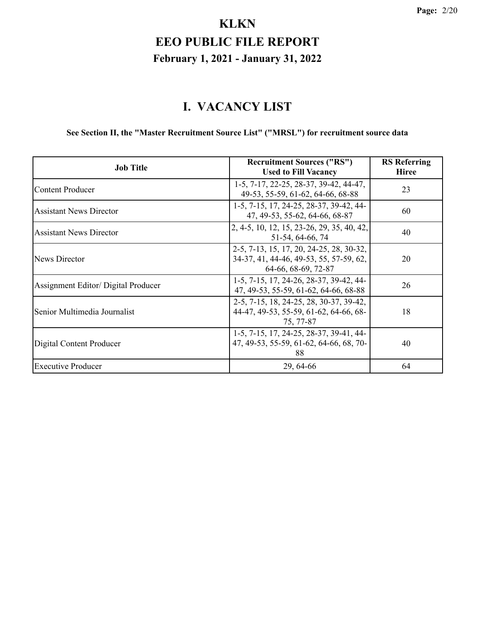#### **I. VACANCY LIST**

#### **See Section II, the "Master Recruitment Source List" ("MRSL") for recruitment source data**

| <b>Job Title</b>                    | <b>Recruitment Sources ("RS")</b><br><b>Used to Fill Vacancy</b>                                           | <b>RS</b> Referring<br><b>Hiree</b> |
|-------------------------------------|------------------------------------------------------------------------------------------------------------|-------------------------------------|
| <b>Content Producer</b>             | 1-5, 7-17, 22-25, 28-37, 39-42, 44-47,<br>49-53, 55-59, 61-62, 64-66, 68-88                                | 23                                  |
| <b>Assistant News Director</b>      | 1-5, 7-15, 17, 24-25, 28-37, 39-42, 44-<br>47, 49-53, 55-62, 64-66, 68-87                                  | 60                                  |
| <b>Assistant News Director</b>      | 2, 4-5, 10, 12, 15, 23-26, 29, 35, 40, 42,<br>51-54, 64-66, 74                                             | 40                                  |
| News Director                       | 2-5, 7-13, 15, 17, 20, 24-25, 28, 30-32,<br>34-37, 41, 44-46, 49-53, 55, 57-59, 62,<br>64-66, 68-69, 72-87 | 20                                  |
| Assignment Editor/ Digital Producer | 1-5, 7-15, 17, 24-26, 28-37, 39-42, 44-<br>47, 49-53, 55-59, 61-62, 64-66, 68-88                           | 26                                  |
| Senior Multimedia Journalist        | 2-5, 7-15, 18, 24-25, 28, 30-37, 39-42,<br>44-47, 49-53, 55-59, 61-62, 64-66, 68-<br>75, 77-87             | 18                                  |
| Digital Content Producer            | 1-5, 7-15, 17, 24-25, 28-37, 39-41, 44-<br>47, 49-53, 55-59, 61-62, 64-66, 68, 70-<br>88                   | 40                                  |
| <b>Executive Producer</b>           | 29, 64-66                                                                                                  | 64                                  |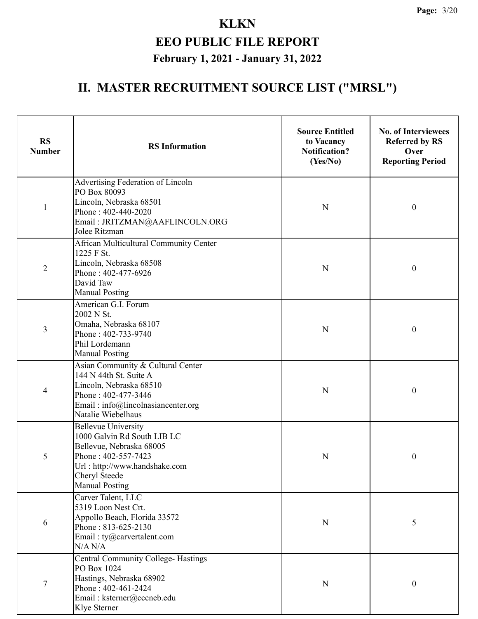| <b>RS</b><br><b>Number</b> | <b>RS</b> Information                                                                                                                                                                   | <b>Source Entitled</b><br>to Vacancy<br><b>Notification?</b><br>(Yes/No) | <b>No. of Interviewees</b><br><b>Referred by RS</b><br>Over<br><b>Reporting Period</b> |
|----------------------------|-----------------------------------------------------------------------------------------------------------------------------------------------------------------------------------------|--------------------------------------------------------------------------|----------------------------------------------------------------------------------------|
| $\mathbf{1}$               | Advertising Federation of Lincoln<br>PO Box 80093<br>Lincoln, Nebraska 68501<br>Phone: 402-440-2020<br>Email: JRITZMAN@AAFLINCOLN.ORG<br>Jolee Ritzman                                  | ${\bf N}$                                                                | $\boldsymbol{0}$                                                                       |
| $\overline{2}$             | African Multicultural Community Center<br>1225 F St.<br>Lincoln, Nebraska 68508<br>Phone: 402-477-6926<br>David Taw<br><b>Manual Posting</b>                                            | $\mathbf N$                                                              | $\boldsymbol{0}$                                                                       |
| 3                          | American G.I. Forum<br>2002 N St.<br>Omaha, Nebraska 68107<br>Phone: 402-733-9740<br>Phil Lordemann<br><b>Manual Posting</b>                                                            | ${\bf N}$                                                                | $\boldsymbol{0}$                                                                       |
| $\overline{\mathcal{A}}$   | Asian Community & Cultural Center<br>144 N 44th St. Suite A<br>Lincoln, Nebraska 68510<br>Phone: 402-477-3446<br>Email: info@lincolnasiancenter.org<br>Natalie Wiebelhaus               | ${\bf N}$                                                                | $\boldsymbol{0}$                                                                       |
| 5                          | <b>Bellevue University</b><br>1000 Galvin Rd South LIB LC<br>Bellevue, Nebraska 68005<br>Phone: 402-557-7423<br>Url: http://www.handshake.com<br>Cheryl Steede<br><b>Manual Posting</b> | ${\bf N}$                                                                | $\boldsymbol{0}$                                                                       |
| 6                          | Carver Talent, LLC<br>5319 Loon Nest Crt.<br>Appollo Beach, Florida 33572<br>Phone: 813-625-2130<br>Email: $ty@carvertalent.com$<br>N/A N/A                                             | $\mathbf N$                                                              | 5                                                                                      |
| $\boldsymbol{7}$           | <b>Central Community College-Hastings</b><br>PO Box 1024<br>Hastings, Nebraska 68902<br>Phone: 402-461-2424<br>Email: ksterner@cccneb.edu<br>Klye Sterner                               | $\mathbf N$                                                              | $\boldsymbol{0}$                                                                       |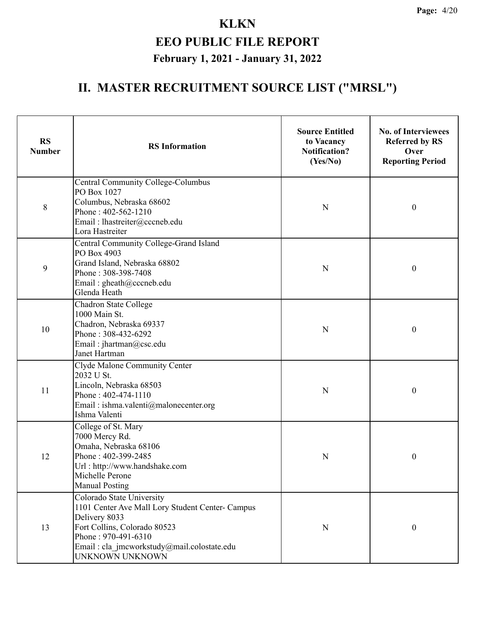| <b>RS</b><br><b>Number</b> | <b>RS</b> Information                                                                                                                                                                                                   | <b>Source Entitled</b><br>to Vacancy<br><b>Notification?</b><br>(Yes/No) | <b>No. of Interviewees</b><br><b>Referred by RS</b><br>Over<br><b>Reporting Period</b> |
|----------------------------|-------------------------------------------------------------------------------------------------------------------------------------------------------------------------------------------------------------------------|--------------------------------------------------------------------------|----------------------------------------------------------------------------------------|
| 8                          | <b>Central Community College-Columbus</b><br>PO Box 1027<br>Columbus, Nebraska 68602<br>Phone: 402-562-1210<br>Email: lhastreiter@cccneb.edu<br>Lora Hastreiter                                                         | N                                                                        | $\boldsymbol{0}$                                                                       |
| 9                          | Central Community College-Grand Island<br>PO Box 4903<br>Grand Island, Nebraska 68802<br>Phone: 308-398-7408<br>Email: gheath@cccneb.edu<br>Glenda Heath                                                                | N                                                                        | $\boldsymbol{0}$                                                                       |
| 10                         | Chadron State College<br>1000 Main St.<br>Chadron, Nebraska 69337<br>Phone: 308-432-6292<br>Email: jhartman@csc.edu<br>Janet Hartman                                                                                    | N                                                                        | $\boldsymbol{0}$                                                                       |
| 11                         | Clyde Malone Community Center<br>2032 U St.<br>Lincoln, Nebraska 68503<br>Phone: 402-474-1110<br>Email: ishma.valenti@malonecenter.org<br>Ishma Valenti                                                                 | N                                                                        | $\boldsymbol{0}$                                                                       |
| 12                         | College of St. Mary<br>7000 Mercy Rd.<br>Omaha, Nebraska 68106<br>Phone: 402-399-2485<br>Url: http://www.handshake.com<br>Michelle Perone<br><b>Manual Posting</b>                                                      | N                                                                        | 0                                                                                      |
| 13                         | Colorado State University<br>1101 Center Ave Mall Lory Student Center- Campus<br>Delivery 8033<br>Fort Collins, Colorado 80523<br>Phone: 970-491-6310<br>Email : cla jmcworkstudy@mail.colostate.edu<br>UNKNOWN UNKNOWN | N                                                                        | $\boldsymbol{0}$                                                                       |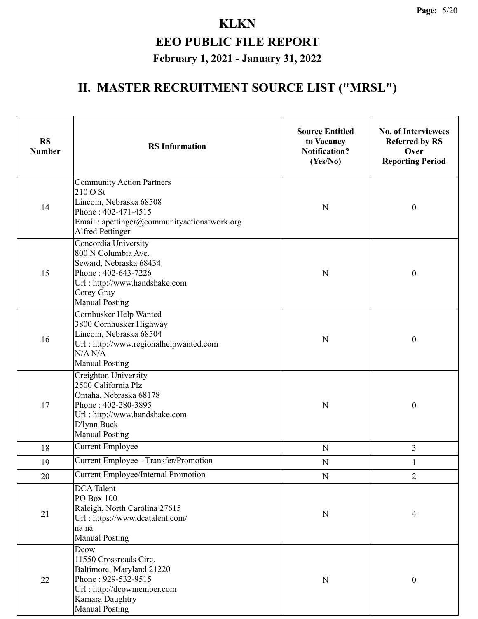| <b>RS</b><br><b>Number</b> | <b>RS</b> Information                                                                                                                                                    | <b>Source Entitled</b><br>to Vacancy<br><b>Notification?</b><br>(Yes/No) | <b>No. of Interviewees</b><br><b>Referred by RS</b><br>Over<br><b>Reporting Period</b> |
|----------------------------|--------------------------------------------------------------------------------------------------------------------------------------------------------------------------|--------------------------------------------------------------------------|----------------------------------------------------------------------------------------|
| 14                         | <b>Community Action Partners</b><br>210 O St<br>Lincoln, Nebraska 68508<br>Phone: 402-471-4515<br>Email: apettinger@communityactionatwork.org<br><b>Alfred Pettinger</b> | ${\bf N}$                                                                | $\boldsymbol{0}$                                                                       |
| 15                         | Concordia University<br>800 N Columbia Ave.<br>Seward, Nebraska 68434<br>Phone: 402-643-7226<br>Url: http://www.handshake.com<br>Corey Gray<br><b>Manual Posting</b>     | $\mathbf N$                                                              | $\boldsymbol{0}$                                                                       |
| 16                         | Cornhusker Help Wanted<br>3800 Cornhusker Highway<br>Lincoln, Nebraska 68504<br>Url: http://www.regionalhelpwanted.com<br>N/A N/A<br><b>Manual Posting</b>               | N                                                                        | $\boldsymbol{0}$                                                                       |
| 17                         | Creighton University<br>2500 California Plz<br>Omaha, Nebraska 68178<br>Phone: 402-280-3895<br>Url: http://www.handshake.com<br>D'lynn Buck<br><b>Manual Posting</b>     | N                                                                        | $\boldsymbol{0}$                                                                       |
| 18                         | <b>Current Employee</b>                                                                                                                                                  | ${\bf N}$                                                                | 3                                                                                      |
| 19                         | <b>Current Employee - Transfer/Promotion</b>                                                                                                                             | ${\bf N}$                                                                |                                                                                        |
| 20                         | <b>Current Employee/Internal Promotion</b>                                                                                                                               | ${\bf N}$                                                                | $\overline{2}$                                                                         |
| 21                         | <b>DCA</b> Talent<br>PO Box 100<br>Raleigh, North Carolina 27615<br>Url: https://www.dcatalent.com/<br>na na<br><b>Manual Posting</b>                                    | ${\bf N}$                                                                | 4                                                                                      |
| 22                         | Dcow<br>11550 Crossroads Circ.<br>Baltimore, Maryland 21220<br>Phone: 929-532-9515<br>Url: http://dcowmember.com<br>Kamara Daughtry<br><b>Manual Posting</b>             | ${\bf N}$                                                                | $\boldsymbol{0}$                                                                       |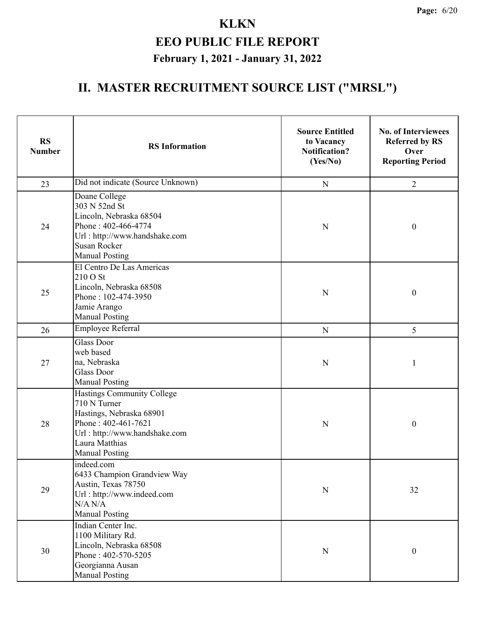| <b>RS</b><br><b>Number</b> | <b>RS</b> Information                                                                                                                                                     | <b>Source Entitled</b><br>to Vacancy<br><b>Notification?</b><br>(Yes/No) | <b>No. of Interviewees</b><br><b>Referred by RS</b><br>Over<br><b>Reporting Period</b> |
|----------------------------|---------------------------------------------------------------------------------------------------------------------------------------------------------------------------|--------------------------------------------------------------------------|----------------------------------------------------------------------------------------|
| 23                         | Did not indicate (Source Unknown)                                                                                                                                         | ${\bf N}$                                                                | $\overline{2}$                                                                         |
| 24                         | Doane College<br>303 N 52nd St<br>Lincoln, Nebraska 68504<br>Phone: 402-466-4774<br>Url: http://www.handshake.com<br><b>Susan Rocker</b><br><b>Manual Posting</b>         | N                                                                        | $\boldsymbol{0}$                                                                       |
| 25                         | El Centro De Las Americas<br>210 O St<br>Lincoln, Nebraska 68508<br>Phone: 102-474-3950<br>Jamie Arango<br><b>Manual Posting</b>                                          | N                                                                        | $\boldsymbol{0}$                                                                       |
| 26                         | <b>Employee Referral</b>                                                                                                                                                  | ${\bf N}$                                                                | 5                                                                                      |
| 27                         | <b>Glass Door</b><br>web based<br>na, Nebraska<br><b>Glass Door</b><br><b>Manual Posting</b>                                                                              | N                                                                        | 1                                                                                      |
| 28                         | Hastings Community College<br>710 N Turner<br>Hastings, Nebraska 68901<br>Phone: 402-461-7621<br>Url: http://www.handshake.com<br>Laura Matthias<br><b>Manual Posting</b> | N                                                                        | $\boldsymbol{0}$                                                                       |
| 29                         | indeed.com<br>6433 Champion Grandview Way<br>Austin, Texas 78750<br>Url: http://www.indeed.com<br>N/A N/A<br><b>Manual Posting</b>                                        | ${\bf N}$                                                                | 32                                                                                     |
| 30                         | Indian Center Inc.<br>1100 Military Rd.<br>Lincoln, Nebraska 68508<br>Phone: 402-570-5205<br>Georgianna Ausan<br><b>Manual Posting</b>                                    | ${\bf N}$                                                                | $\boldsymbol{0}$                                                                       |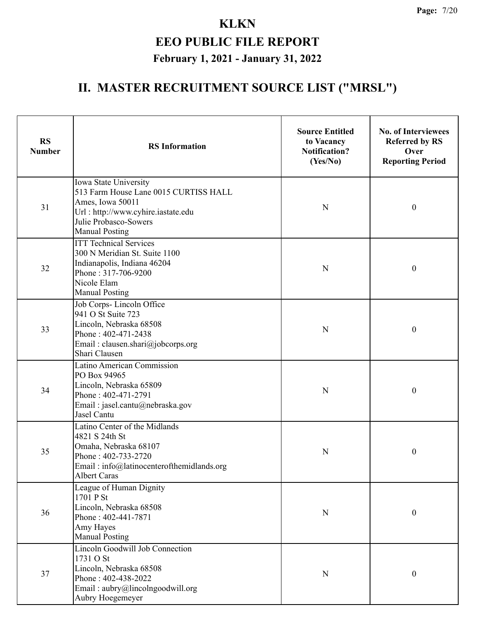| <b>RS</b><br><b>Number</b> | <b>RS</b> Information                                                                                                                                                      | <b>Source Entitled</b><br>to Vacancy<br><b>Notification?</b><br>(Yes/No) | <b>No. of Interviewees</b><br><b>Referred by RS</b><br>Over<br><b>Reporting Period</b> |
|----------------------------|----------------------------------------------------------------------------------------------------------------------------------------------------------------------------|--------------------------------------------------------------------------|----------------------------------------------------------------------------------------|
| 31                         | Iowa State University<br>513 Farm House Lane 0015 CURTISS HALL<br>Ames, Iowa 50011<br>Url: http://www.cyhire.iastate.edu<br>Julie Probasco-Sowers<br><b>Manual Posting</b> | N                                                                        | $\boldsymbol{0}$                                                                       |
| 32                         | <b>ITT Technical Services</b><br>300 N Meridian St. Suite 1100<br>Indianapolis, Indiana 46204<br>Phone: 317-706-9200<br>Nicole Elam<br><b>Manual Posting</b>               | N                                                                        | $\boldsymbol{0}$                                                                       |
| 33                         | Job Corps-Lincoln Office<br>941 O St Suite 723<br>Lincoln, Nebraska 68508<br>Phone: 402-471-2438<br>Email: clausen.shari@jobcorps.org<br>Shari Clausen                     | $\mathbf N$                                                              | $\boldsymbol{0}$                                                                       |
| 34                         | <b>Latino American Commission</b><br>PO Box 94965<br>Lincoln, Nebraska 65809<br>Phone: 402-471-2791<br>Email: jasel.cantu@nebraska.gov<br>Jasel Cantu                      | N                                                                        | $\boldsymbol{0}$                                                                       |
| 35                         | Latino Center of the Midlands<br>4821 S 24th St<br>Omaha, Nebraska 68107<br>Phone: 402-733-2720<br>Email: info@latinocenterofthemidlands.org<br><b>Albert Caras</b>        | N                                                                        | $\boldsymbol{0}$                                                                       |
| 36                         | League of Human Dignity<br>1701 P St<br>Lincoln, Nebraska 68508<br>Phone: 402-441-7871<br>Amy Hayes<br><b>Manual Posting</b>                                               | ${\bf N}$                                                                | $\boldsymbol{0}$                                                                       |
| 37                         | <b>Lincoln Goodwill Job Connection</b><br>1731 O St<br>Lincoln, Nebraska 68508<br>Phone: 402-438-2022<br>Email: aubry@lincolngoodwill.org<br>Aubry Hoegemeyer              | ${\bf N}$                                                                | $\boldsymbol{0}$                                                                       |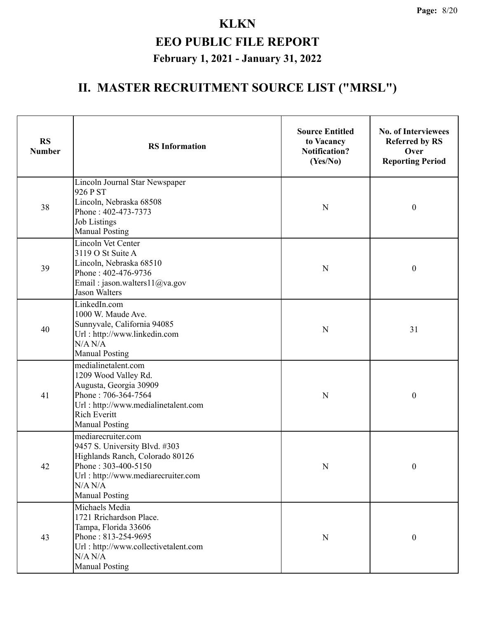| <b>RS</b><br><b>Number</b> | <b>RS</b> Information                                                                                                                                                                   | <b>Source Entitled</b><br>to Vacancy<br><b>Notification?</b><br>(Yes/No) | <b>No. of Interviewees</b><br><b>Referred by RS</b><br>Over<br><b>Reporting Period</b> |
|----------------------------|-----------------------------------------------------------------------------------------------------------------------------------------------------------------------------------------|--------------------------------------------------------------------------|----------------------------------------------------------------------------------------|
| 38                         | Lincoln Journal Star Newspaper<br>926 P ST<br>Lincoln, Nebraska 68508<br>Phone: 402-473-7373<br><b>Job Listings</b><br><b>Manual Posting</b>                                            | ${\bf N}$                                                                | $\boldsymbol{0}$                                                                       |
| 39                         | Lincoln Vet Center<br>3119 O St Suite A<br>Lincoln, Nebraska 68510<br>Phone: 402-476-9736<br>Email: jason.walters11@va.gov<br><b>Jason Walters</b>                                      | N                                                                        | $\boldsymbol{0}$                                                                       |
| 40                         | LinkedIn.com<br>1000 W. Maude Ave.<br>Sunnyvale, California 94085<br>Url: http://www.linkedin.com<br>N/A N/A<br><b>Manual Posting</b>                                                   | N                                                                        | 31                                                                                     |
| 41                         | medialinetalent.com<br>1209 Wood Valley Rd.<br>Augusta, Georgia 30909<br>Phone: 706-364-7564<br>Url: http://www.medialinetalent.com<br><b>Rich Everitt</b><br><b>Manual Posting</b>     | N                                                                        | $\boldsymbol{0}$                                                                       |
| 42                         | mediarecruiter.com<br>9457 S. University Blvd. #303<br>Highlands Ranch, Colorado 80126<br>Phone: 303-400-5150<br>Url: http://www.mediarecruiter.com<br>N/A N/A<br><b>Manual Posting</b> | N                                                                        | $\mathbf{0}$                                                                           |
| 43                         | Michaels Media<br>1721 Rrichardson Place.<br>Tampa, Florida 33606<br>Phone: 813-254-9695<br>Url: http://www.collectivetalent.com<br>N/A N/A<br><b>Manual Posting</b>                    | ${\bf N}$                                                                | $\boldsymbol{0}$                                                                       |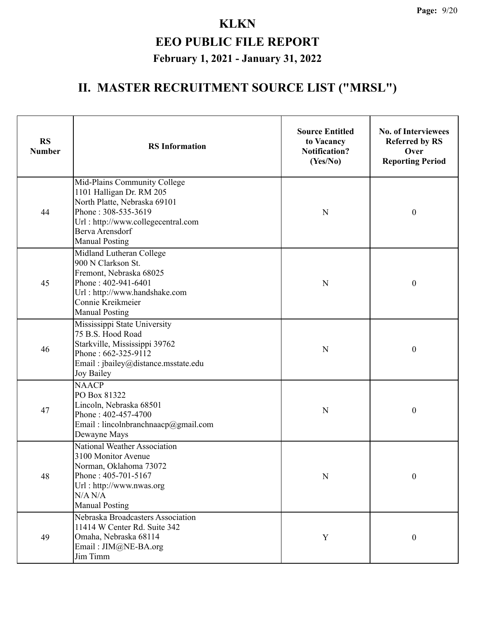| <b>RS</b><br><b>Number</b> | <b>RS</b> Information                                                                                                                                                                             | <b>Source Entitled</b><br>to Vacancy<br><b>Notification?</b><br>(Yes/No) | <b>No. of Interviewees</b><br><b>Referred by RS</b><br>Over<br><b>Reporting Period</b> |
|----------------------------|---------------------------------------------------------------------------------------------------------------------------------------------------------------------------------------------------|--------------------------------------------------------------------------|----------------------------------------------------------------------------------------|
| 44                         | Mid-Plains Community College<br>1101 Halligan Dr. RM 205<br>North Platte, Nebraska 69101<br>Phone: 308-535-3619<br>Url: http://www.collegecentral.com<br>Berva Arensdorf<br><b>Manual Posting</b> | N                                                                        | $\boldsymbol{0}$                                                                       |
| 45                         | Midland Lutheran College<br>900 N Clarkson St.<br>Fremont, Nebraska 68025<br>Phone: 402-941-6401<br>Url: http://www.handshake.com<br>Connie Kreikmeier<br><b>Manual Posting</b>                   | N                                                                        | $\boldsymbol{0}$                                                                       |
| 46                         | Mississippi State University<br>75 B.S. Hood Road<br>Starkville, Mississippi 39762<br>Phone: 662-325-9112<br>Email: jbailey@distance.msstate.edu<br>Joy Bailey                                    | $\mathbf N$                                                              | $\boldsymbol{0}$                                                                       |
| 47                         | <b>NAACP</b><br>PO Box 81322<br>Lincoln, Nebraska 68501<br>Phone: 402-457-4700<br>Email: lincolnbranchnaacp@gmail.com<br>Dewayne Mays                                                             | N                                                                        | $\boldsymbol{0}$                                                                       |
| 48                         | National Weather Association<br>3100 Monitor Avenue<br>Norman, Oklahoma 73072<br>Phone: 405-701-5167<br>Url: http://www.nwas.org<br>N/A N/A<br><b>Manual Posting</b>                              | ${\bf N}$                                                                | $\boldsymbol{0}$                                                                       |
| 49                         | Nebraska Broadcasters Association<br>11414 W Center Rd. Suite 342<br>Omaha, Nebraska 68114<br>Email: JIM@NE-BA.org<br>Jim Timm                                                                    | $\mathbf Y$                                                              | $\boldsymbol{0}$                                                                       |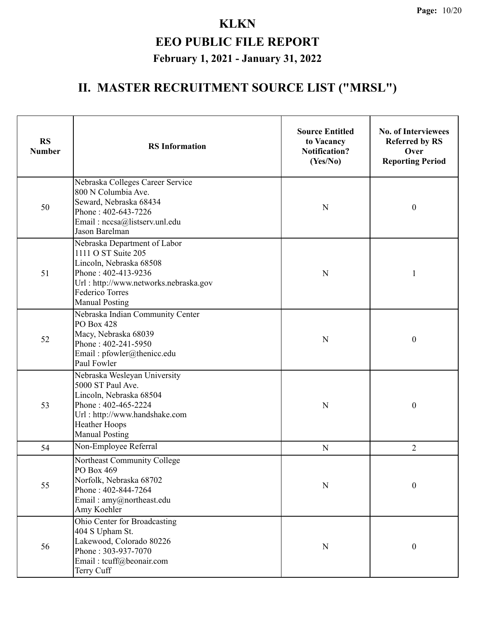| <b>RS</b><br><b>Number</b> | <b>RS</b> Information                                                                                                                                                                             | <b>Source Entitled</b><br>to Vacancy<br><b>Notification?</b><br>(Yes/No) | <b>No. of Interviewees</b><br><b>Referred by RS</b><br>Over<br><b>Reporting Period</b> |
|----------------------------|---------------------------------------------------------------------------------------------------------------------------------------------------------------------------------------------------|--------------------------------------------------------------------------|----------------------------------------------------------------------------------------|
| 50                         | Nebraska Colleges Career Service<br>800 N Columbia Ave.<br>Seward, Nebraska 68434<br>Phone: 402-643-7226<br>Email: nccsa@listserv.unl.edu<br>Jason Barelman                                       | N                                                                        | $\boldsymbol{0}$                                                                       |
| 51                         | Nebraska Department of Labor<br>1111 O ST Suite 205<br>Lincoln, Nebraska 68508<br>Phone: 402-413-9236<br>Url: http://www.networks.nebraska.gov<br><b>Federico Torres</b><br><b>Manual Posting</b> | N                                                                        | 1                                                                                      |
| 52                         | Nebraska Indian Community Center<br><b>PO Box 428</b><br>Macy, Nebraska 68039<br>Phone: 402-241-5950<br>Email: pfowler@thenicc.edu<br>Paul Fowler                                                 | N                                                                        | $\boldsymbol{0}$                                                                       |
| 53                         | Nebraska Wesleyan University<br>5000 ST Paul Ave.<br>Lincoln, Nebraska 68504<br>Phone: 402-465-2224<br>Url: http://www.handshake.com<br>Heather Hoops<br><b>Manual Posting</b>                    | N                                                                        | $\boldsymbol{0}$                                                                       |
| 54                         | Non-Employee Referral                                                                                                                                                                             | $\mathbf N$                                                              | $\overline{2}$                                                                         |
| 55                         | Northeast Community College<br>PO Box 469<br>Norfolk, Nebraska 68702<br>Phone: 402-844-7264<br>Email: amy@northeast.edu<br>Amy Koehler                                                            | ${\bf N}$                                                                | $\boldsymbol{0}$                                                                       |
| 56                         | Ohio Center for Broadcasting<br>404 S Upham St.<br>Lakewood, Colorado 80226<br>Phone: 303-937-7070<br>Email: tcuff@beonair.com<br>Terry Cuff                                                      | N                                                                        | $\boldsymbol{0}$                                                                       |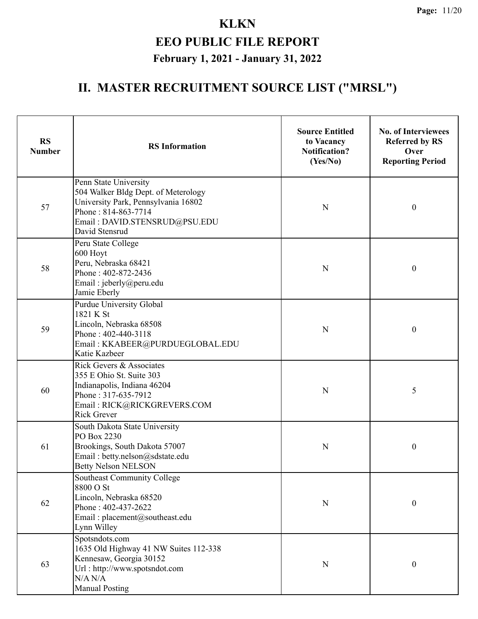| <b>RS</b><br><b>Number</b> | <b>RS</b> Information                                                                                                                                                         | <b>Source Entitled</b><br>to Vacancy<br><b>Notification?</b><br>(Yes/No) | <b>No. of Interviewees</b><br><b>Referred by RS</b><br>Over<br><b>Reporting Period</b> |
|----------------------------|-------------------------------------------------------------------------------------------------------------------------------------------------------------------------------|--------------------------------------------------------------------------|----------------------------------------------------------------------------------------|
| 57                         | Penn State University<br>504 Walker Bldg Dept. of Meterology<br>University Park, Pennsylvania 16802<br>Phone: 814-863-7714<br>Email: DAVID.STENSRUD@PSU.EDU<br>David Stensrud | N                                                                        | $\boldsymbol{0}$                                                                       |
| 58                         | Peru State College<br>600 Hoyt<br>Peru, Nebraska 68421<br>Phone: 402-872-2436<br>Email: jeberly@peru.edu<br>Jamie Eberly                                                      | N                                                                        | $\boldsymbol{0}$                                                                       |
| 59                         | Purdue University Global<br>1821 K St<br>Lincoln, Nebraska 68508<br>Phone: 402-440-3118<br>Email: KKABEER@PURDUEGLOBAL.EDU<br>Katie Kazbeer                                   | N                                                                        | $\boldsymbol{0}$                                                                       |
| 60                         | Rick Gevers & Associates<br>355 E Ohio St. Suite 303<br>Indianapolis, Indiana 46204<br>Phone: 317-635-7912<br>Email: RICK@RICKGREVERS.COM<br><b>Rick Grever</b>               | N                                                                        | 5                                                                                      |
| 61                         | South Dakota State University<br>PO Box 2230<br>Brookings, South Dakota 57007<br>Email: betty.nelson@sdstate.edu<br><b>Betty Nelson NELSON</b>                                | N                                                                        | $\boldsymbol{0}$                                                                       |
| 62                         | Southeast Community College<br>8800 O St<br>Lincoln, Nebraska 68520<br>Phone: 402-437-2622<br>Email: placement@southeast.edu<br>Lynn Willey                                   | $\mathbf N$                                                              | $\boldsymbol{0}$                                                                       |
| 63                         | Spotsndots.com<br>1635 Old Highway 41 NW Suites 112-338<br>Kennesaw, Georgia 30152<br>Url: http://www.spotsndot.com<br>N/A N/A<br><b>Manual Posting</b>                       | N                                                                        | $\boldsymbol{0}$                                                                       |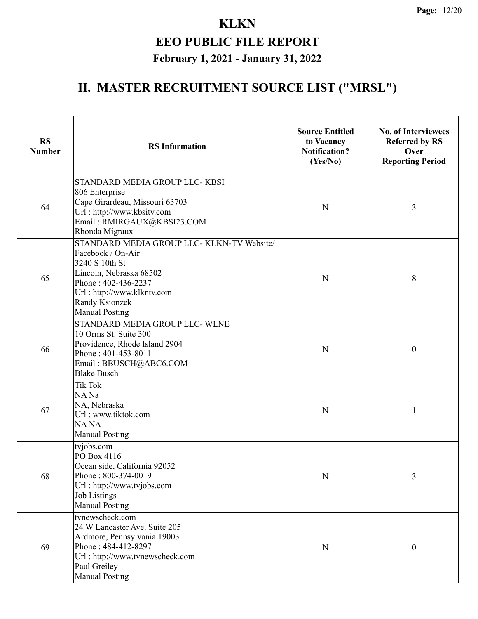| <b>RS</b><br><b>Number</b> | <b>RS</b> Information                                                                                                                                                                                        | <b>Source Entitled</b><br>to Vacancy<br><b>Notification?</b><br>(Yes/No) | <b>No. of Interviewees</b><br><b>Referred by RS</b><br>Over<br><b>Reporting Period</b> |
|----------------------------|--------------------------------------------------------------------------------------------------------------------------------------------------------------------------------------------------------------|--------------------------------------------------------------------------|----------------------------------------------------------------------------------------|
| 64                         | STANDARD MEDIA GROUP LLC-KBSI<br>806 Enterprise<br>Cape Girardeau, Missouri 63703<br>Url: http://www.kbsitv.com<br>Email: RMIRGAUX@KBSI23.COM<br>Rhonda Migraux                                              | N                                                                        | 3                                                                                      |
| 65                         | STANDARD MEDIA GROUP LLC- KLKN-TV Website/<br>Facebook / On-Air<br>3240 S 10th St<br>Lincoln, Nebraska 68502<br>Phone: 402-436-2237<br>Url: http://www.klkntv.com<br>Randy Ksionzek<br><b>Manual Posting</b> | N                                                                        | 8                                                                                      |
| 66                         | STANDARD MEDIA GROUP LLC- WLNE<br>10 Orms St. Suite 300<br>Providence, Rhode Island 2904<br>Phone: 401-453-8011<br>Email: BBUSCH@ABC6.COM<br><b>Blake Busch</b>                                              | N                                                                        | $\boldsymbol{0}$                                                                       |
| 67                         | <b>Tik Tok</b><br>NA Na<br>NA, Nebraska<br>Url: www.tiktok.com<br><b>NANA</b><br><b>Manual Posting</b>                                                                                                       | N                                                                        |                                                                                        |
| 68                         | tvjobs.com<br>PO Box 4116<br>Ocean side, California 92052<br>Phone: 800-374-0019<br>Url: http://www.tvjobs.com<br><b>Job Listings</b><br><b>Manual Posting</b>                                               | N                                                                        | 3                                                                                      |
| 69                         | tvnewscheck.com<br>24 W Lancaster Ave. Suite 205<br>Ardmore, Pennsylvania 19003<br>Phone: 484-412-8297<br>Url: http://www.tvnewscheck.com<br>Paul Greiley<br><b>Manual Posting</b>                           | N                                                                        | $\boldsymbol{0}$                                                                       |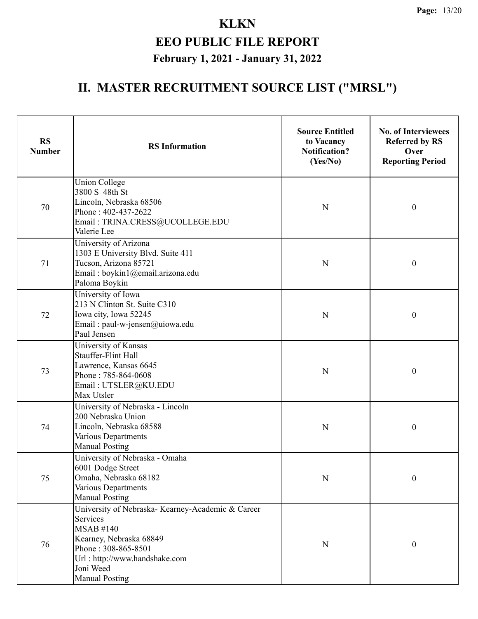| <b>RS</b><br><b>Number</b> | <b>RS</b> Information                                                                                                                                                                                     | <b>Source Entitled</b><br>to Vacancy<br><b>Notification?</b><br>(Yes/No) | <b>No. of Interviewees</b><br><b>Referred by RS</b><br>Over<br><b>Reporting Period</b> |  |
|----------------------------|-----------------------------------------------------------------------------------------------------------------------------------------------------------------------------------------------------------|--------------------------------------------------------------------------|----------------------------------------------------------------------------------------|--|
| 70                         | <b>Union College</b><br>3800 S 48th St<br>Lincoln, Nebraska 68506<br>Phone: 402-437-2622<br>Email: TRINA.CRESS@UCOLLEGE.EDU<br>Valerie Lee                                                                | N                                                                        | $\boldsymbol{0}$                                                                       |  |
| 71                         | University of Arizona<br>1303 E University Blvd. Suite 411<br>Tucson, Arizona 85721<br>Email: boykin1@email.arizona.edu<br>Paloma Boykin                                                                  | N                                                                        | $\boldsymbol{0}$                                                                       |  |
| 72                         | University of Iowa<br>213 N Clinton St. Suite C310<br>Iowa city, Iowa 52245<br>Email: paul-w-jensen@uiowa.edu<br>Paul Jensen                                                                              | N                                                                        | $\boldsymbol{0}$                                                                       |  |
| 73                         | University of Kansas<br>Stauffer-Flint Hall<br>Lawrence, Kansas 6645<br>Phone: 785-864-0608<br>Email: UTSLER@KU.EDU<br>Max Utsler                                                                         | N                                                                        | $\boldsymbol{0}$                                                                       |  |
| 74                         | University of Nebraska - Lincoln<br>200 Nebraska Union<br>Lincoln, Nebraska 68588<br>Various Departments<br><b>Manual Posting</b>                                                                         | N                                                                        | $\boldsymbol{0}$                                                                       |  |
| 75                         | University of Nebraska - Omaha<br>6001 Dodge Street<br>Omaha, Nebraska 68182<br>Various Departments<br><b>Manual Posting</b>                                                                              | $\mathbf N$                                                              | 0                                                                                      |  |
| 76                         | University of Nebraska- Kearney-Academic & Career<br>Services<br><b>MSAB#140</b><br>Kearney, Nebraska 68849<br>Phone: 308-865-8501<br>Url: http://www.handshake.com<br>Joni Weed<br><b>Manual Posting</b> | ${\bf N}$                                                                | $\boldsymbol{0}$                                                                       |  |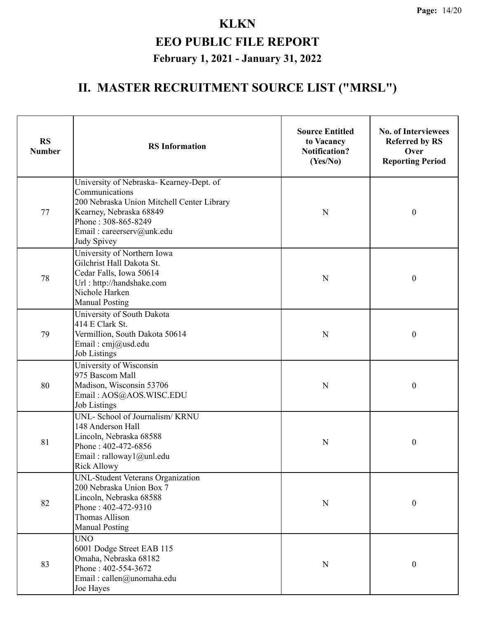| <b>RS</b><br><b>Number</b> | <b>RS</b> Information                                                                                                                                                                                  | <b>Source Entitled</b><br>to Vacancy<br><b>Notification?</b><br>(Yes/No) | <b>No. of Interviewees</b><br><b>Referred by RS</b><br>Over<br><b>Reporting Period</b> |
|----------------------------|--------------------------------------------------------------------------------------------------------------------------------------------------------------------------------------------------------|--------------------------------------------------------------------------|----------------------------------------------------------------------------------------|
| 77                         | University of Nebraska- Kearney-Dept. of<br>Communications<br>200 Nebraska Union Mitchell Center Library<br>Kearney, Nebraska 68849<br>Phone: 308-865-8249<br>Email: careerserv@unk.edu<br>Judy Spivey | N                                                                        | $\boldsymbol{0}$                                                                       |
| 78                         | University of Northern Iowa<br>Gilchrist Hall Dakota St.<br>Cedar Falls, Iowa 50614<br>Url: http://handshake.com<br>Nichole Harken<br><b>Manual Posting</b>                                            | N                                                                        | $\boldsymbol{0}$                                                                       |
| 79                         | University of South Dakota<br>414 E Clark St.<br>Vermillion, South Dakota 50614<br>Email: cmj@usd.edu<br><b>Job Listings</b>                                                                           | N                                                                        | $\boldsymbol{0}$                                                                       |
| 80                         | University of Wisconsin<br>975 Bascom Mall<br>Madison, Wisconsin 53706<br>Email: AOS@AOS.WISC.EDU<br><b>Job Listings</b>                                                                               | N                                                                        | $\boldsymbol{0}$                                                                       |
| 81                         | UNL- School of Journalism/KRNU<br>148 Anderson Hall<br>Lincoln, Nebraska 68588<br>Phone: 402-472-6856<br>Email: ralloway1@unl.edu<br>Rick Allowy                                                       | $\mathbf N$                                                              | $\boldsymbol{0}$                                                                       |
| 82                         | UNL-Student Veterans Organization<br>200 Nebraska Union Box 7<br>Lincoln, Nebraska 68588<br>Phone: 402-472-9310<br><b>Thomas Allison</b><br><b>Manual Posting</b>                                      | N                                                                        | $\boldsymbol{0}$                                                                       |
| 83                         | <b>UNO</b><br>6001 Dodge Street EAB 115<br>Omaha, Nebraska 68182<br>Phone: 402-554-3672<br>Email: callen@unomaha.edu<br>Joe Hayes                                                                      | N                                                                        | $\boldsymbol{0}$                                                                       |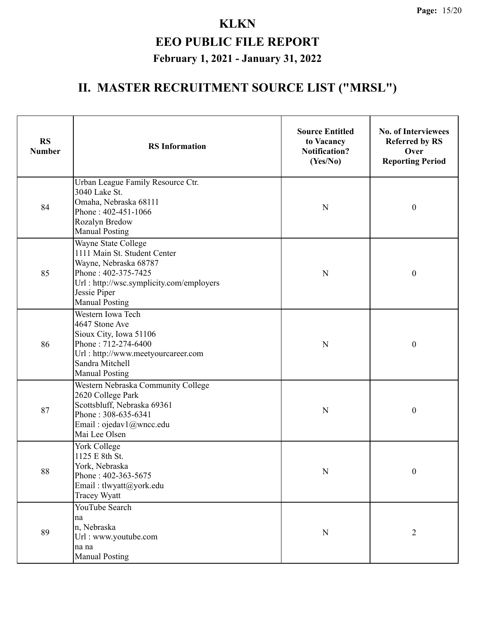| <b>RS</b><br><b>Number</b> | <b>RS</b> Information                                                                                                                                                                    | <b>Source Entitled</b><br>to Vacancy<br><b>Notification?</b><br>(Yes/No) | <b>No. of Interviewees</b><br><b>Referred by RS</b><br>Over<br><b>Reporting Period</b> |
|----------------------------|------------------------------------------------------------------------------------------------------------------------------------------------------------------------------------------|--------------------------------------------------------------------------|----------------------------------------------------------------------------------------|
| 84                         | Urban League Family Resource Ctr.<br>3040 Lake St.<br>Omaha, Nebraska 68111<br>Phone: 402-451-1066<br>Rozalyn Bredow<br><b>Manual Posting</b>                                            | N                                                                        | $\boldsymbol{0}$                                                                       |
| 85                         | Wayne State College<br>1111 Main St. Student Center<br>Wayne, Nebraska 68787<br>Phone: 402-375-7425<br>Url: http://wsc.symplicity.com/employers<br>Jessie Piper<br><b>Manual Posting</b> | N                                                                        | $\boldsymbol{0}$                                                                       |
| 86                         | Western Iowa Tech<br>4647 Stone Ave<br>Sioux City, Iowa 51106<br>Phone: 712-274-6400<br>Url: http://www.meetyourcareer.com<br>Sandra Mitchell<br><b>Manual Posting</b>                   | N                                                                        | $\boldsymbol{0}$                                                                       |
| 87                         | Western Nebraska Community College<br>2620 College Park<br>Scottsbluff, Nebraska 69361<br>Phone: 308-635-6341<br>Email: ojedav1@wncc.edu<br>Mai Lee Olsen                                | N                                                                        | $\boldsymbol{0}$                                                                       |
| $88\,$                     | York College<br>1125 E 8th St.<br>York, Nebraska<br>Phone: 402-363-5675<br>Email: tlwyatt@york.edu<br>Tracey Wyatt                                                                       | $\mathbf N$                                                              | $\boldsymbol{0}$                                                                       |
| 89                         | YouTube Search<br>na<br>n, Nebraska<br>Url: www.youtube.com<br>na na<br><b>Manual Posting</b>                                                                                            | ${\bf N}$                                                                | $\overline{2}$                                                                         |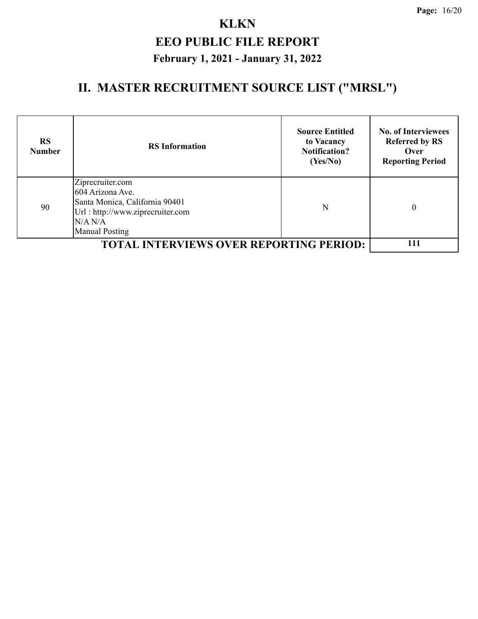| <b>RS</b><br><b>Number</b> | <b>RS</b> Information                                                                                                                          | <b>Source Entitled</b><br>to Vacancy<br><b>Notification?</b><br>(Yes/No) | <b>No. of Interviewees</b><br><b>Referred by RS</b><br>Over<br><b>Reporting Period</b> |
|----------------------------|------------------------------------------------------------------------------------------------------------------------------------------------|--------------------------------------------------------------------------|----------------------------------------------------------------------------------------|
| 90                         | Ziprecruiter.com<br>604 Arizona Ave.<br>Santa Monica, California 90401<br>Url: http://www.ziprecruiter.com<br>N/A N/A<br><b>Manual Posting</b> | N                                                                        | $\boldsymbol{0}$                                                                       |
|                            | <b>TOTAL INTERVIEWS OVER REPORTING PERIOD:</b>                                                                                                 |                                                                          | 111                                                                                    |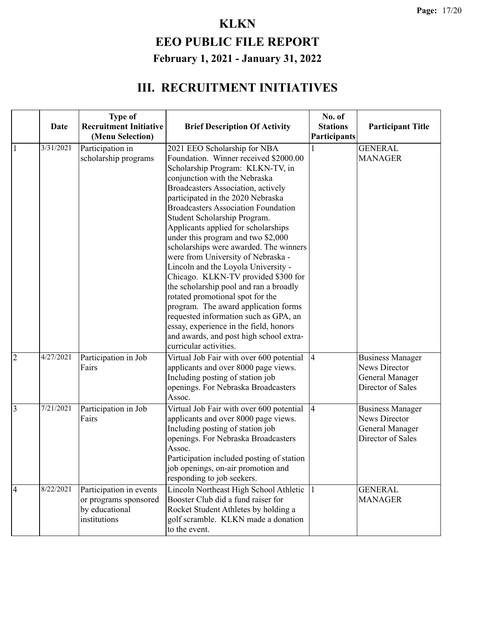|                | <b>Date</b> | <b>Type of</b><br><b>Recruitment Initiative</b><br>(Menu Selection)                | <b>Brief Description Of Activity</b>                                                                                                                                                                                                                                                                                                                                                                                                                                                                                                                                                                                                                                                                                                                                                                                         | No. of<br><b>Stations</b><br>Participants | <b>Participant Title</b>                                                                |
|----------------|-------------|------------------------------------------------------------------------------------|------------------------------------------------------------------------------------------------------------------------------------------------------------------------------------------------------------------------------------------------------------------------------------------------------------------------------------------------------------------------------------------------------------------------------------------------------------------------------------------------------------------------------------------------------------------------------------------------------------------------------------------------------------------------------------------------------------------------------------------------------------------------------------------------------------------------------|-------------------------------------------|-----------------------------------------------------------------------------------------|
| $\mathbf{1}$   | 3/31/2021   | Participation in<br>scholarship programs                                           | 2021 EEO Scholarship for NBA<br>Foundation. Winner received \$2000.00<br>Scholarship Program: KLKN-TV, in<br>conjunction with the Nebraska<br>Broadcasters Association, actively<br>participated in the 2020 Nebraska<br><b>Broadcasters Association Foundation</b><br>Student Scholarship Program.<br>Applicants applied for scholarships<br>under this program and two \$2,000<br>scholarships were awarded. The winners<br>were from University of Nebraska -<br>Lincoln and the Loyola University -<br>Chicago. KLKN-TV provided \$300 for<br>the scholarship pool and ran a broadly<br>rotated promotional spot for the<br>program. The award application forms<br>requested information such as GPA, an<br>essay, experience in the field, honors<br>and awards, and post high school extra-<br>curricular activities. |                                           | <b>GENERAL</b><br><b>MANAGER</b>                                                        |
| $\overline{2}$ | 4/27/2021   | Participation in Job<br>Fairs                                                      | Virtual Job Fair with over 600 potential<br>applicants and over 8000 page views.<br>Including posting of station job<br>openings. For Nebraska Broadcasters<br>Assoc.                                                                                                                                                                                                                                                                                                                                                                                                                                                                                                                                                                                                                                                        | $\vert 4 \vert$                           | Business Manager<br>News Director<br>General Manager<br>Director of Sales               |
| 3              | 7/21/2021   | Participation in Job<br>Fairs                                                      | Virtual Job Fair with over 600 potential<br>applicants and over 8000 page views.<br>Including posting of station job<br>openings. For Nebraska Broadcasters<br>Assoc.<br>Participation included posting of station<br>job openings, on-air promotion and<br>responding to job seekers.                                                                                                                                                                                                                                                                                                                                                                                                                                                                                                                                       | $\vert 4 \vert$                           | <b>Business Manager</b><br>News Director<br><b>General Manager</b><br>Director of Sales |
| $\overline{4}$ | 8/22/2021   | Participation in events<br>or programs sponsored<br>by educational<br>institutions | Lincoln Northeast High School Athletic<br>Booster Club did a fund raiser for<br>Rocket Student Athletes by holding a<br>golf scramble. KLKN made a donation<br>to the event.                                                                                                                                                                                                                                                                                                                                                                                                                                                                                                                                                                                                                                                 | $\vert$ 1                                 | <b>GENERAL</b><br><b>MANAGER</b>                                                        |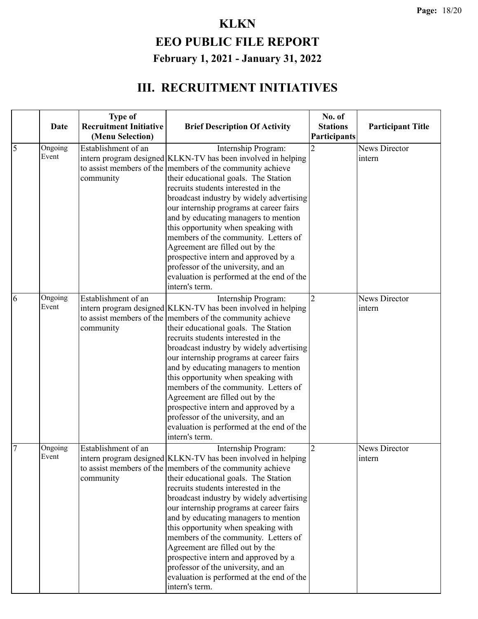|                | Date             | <b>Type of</b><br><b>Recruitment Initiative</b><br>(Menu Selection) | <b>Brief Description Of Activity</b>                                                                                                                                                                                                                                                                                                                                                                                                                                                                                                                                                                                           | No. of<br><b>Stations</b><br>Participants | <b>Participant Title</b>       |
|----------------|------------------|---------------------------------------------------------------------|--------------------------------------------------------------------------------------------------------------------------------------------------------------------------------------------------------------------------------------------------------------------------------------------------------------------------------------------------------------------------------------------------------------------------------------------------------------------------------------------------------------------------------------------------------------------------------------------------------------------------------|-------------------------------------------|--------------------------------|
| $\overline{5}$ | Ongoing<br>Event | Establishment of an<br>community                                    | Internship Program:<br>intern program designed KLKN-TV has been involved in helping<br>to assist members of the members of the community achieve<br>their educational goals. The Station<br>recruits students interested in the<br>broadcast industry by widely advertising<br>our internship programs at career fairs<br>and by educating managers to mention<br>this opportunity when speaking with<br>members of the community. Letters of<br>Agreement are filled out by the<br>prospective intern and approved by a<br>professor of the university, and an<br>evaluation is performed at the end of the<br>intern's term. |                                           | <b>News Director</b><br>intern |
| 6              | Ongoing<br>Event | Establishment of an<br>community                                    | Internship Program:<br>intern program designed KLKN-TV has been involved in helping<br>to assist members of the members of the community achieve<br>their educational goals. The Station<br>recruits students interested in the<br>broadcast industry by widely advertising<br>our internship programs at career fairs<br>and by educating managers to mention<br>this opportunity when speaking with<br>members of the community. Letters of<br>Agreement are filled out by the<br>prospective intern and approved by a<br>professor of the university, and an<br>evaluation is performed at the end of the<br>intern's term. | $\overline{2}$                            | <b>News Director</b><br>intern |
| $\overline{7}$ | Ongoing<br>Event | Establishment of an<br>community                                    | Internship Program:<br>intern program designed KLKN-TV has been involved in helping<br>to assist members of the members of the community achieve<br>their educational goals. The Station<br>recruits students interested in the<br>broadcast industry by widely advertising<br>our internship programs at career fairs<br>and by educating managers to mention<br>this opportunity when speaking with<br>members of the community. Letters of<br>Agreement are filled out by the<br>prospective intern and approved by a<br>professor of the university, and an<br>evaluation is performed at the end of the<br>intern's term. | $\overline{2}$                            | News Director<br>intern        |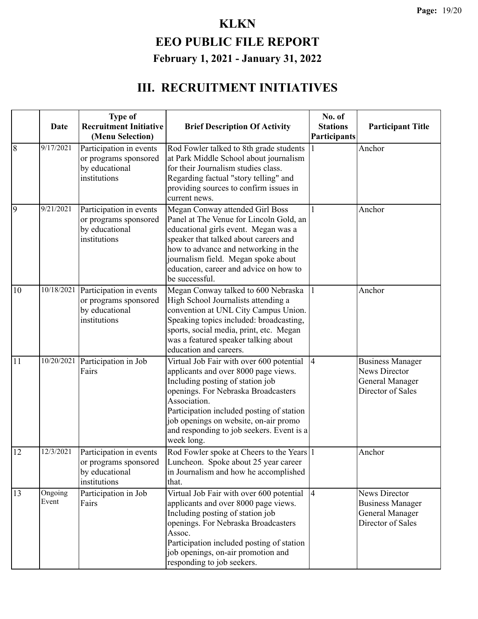| $\overline{8}$ | Date<br>9/17/2021 | <b>Type of</b><br><b>Recruitment Initiative</b><br>(Menu Selection)<br>Participation in events | <b>Brief Description Of Activity</b><br>Rod Fowler talked to 8th grade students                                                                                                                                                                                                                                              | No. of<br><b>Stations</b><br>Participants | <b>Participant Title</b><br>Anchor                                                             |
|----------------|-------------------|------------------------------------------------------------------------------------------------|------------------------------------------------------------------------------------------------------------------------------------------------------------------------------------------------------------------------------------------------------------------------------------------------------------------------------|-------------------------------------------|------------------------------------------------------------------------------------------------|
|                |                   | or programs sponsored<br>by educational<br>institutions                                        | at Park Middle School about journalism<br>for their Journalism studies class.<br>Regarding factual "story telling" and<br>providing sources to confirm issues in<br>current news.                                                                                                                                            |                                           |                                                                                                |
| 9              | 9/21/2021         | Participation in events<br>or programs sponsored<br>by educational<br>institutions             | Megan Conway attended Girl Boss<br>Panel at The Venue for Lincoln Gold, an<br>educational girls event. Megan was a<br>speaker that talked about careers and<br>how to advance and networking in the<br>journalism field. Megan spoke about<br>education, career and advice on how to<br>be successful.                       |                                           | Anchor                                                                                         |
| 10             | 10/18/2021        | Participation in events<br>or programs sponsored<br>by educational<br>institutions             | Megan Conway talked to 600 Nebraska<br>High School Journalists attending a<br>convention at UNL City Campus Union.<br>Speaking topics included: broadcasting,<br>sports, social media, print, etc. Megan<br>was a featured speaker talking about<br>education and careers.                                                   | $\mathbf{1}$                              | Anchor                                                                                         |
| 11             | 10/20/2021        | Participation in Job<br>Fairs                                                                  | Virtual Job Fair with over 600 potential<br>applicants and over 8000 page views.<br>Including posting of station job<br>openings. For Nebraska Broadcasters<br>Association.<br>Participation included posting of station<br>job openings on website, on-air promo<br>and responding to job seekers. Event is a<br>week long. | $\overline{4}$                            | <b>Business Manager</b><br><b>News Director</b><br><b>General Manager</b><br>Director of Sales |
| 12             | 12/3/2021         | Participation in events<br>or programs sponsored<br>by educational<br>institutions             | Rod Fowler spoke at Cheers to the Years 1<br>Luncheon. Spoke about 25 year career<br>in Journalism and how he accomplished<br>that.                                                                                                                                                                                          |                                           | Anchor                                                                                         |
| 13             | Ongoing<br>Event  | Participation in Job<br>Fairs                                                                  | Virtual Job Fair with over 600 potential<br>applicants and over 8000 page views.<br>Including posting of station job<br>openings. For Nebraska Broadcasters<br>Assoc.<br>Participation included posting of station<br>job openings, on-air promotion and<br>responding to job seekers.                                       | $\overline{4}$                            | <b>News Director</b><br><b>Business Manager</b><br>General Manager<br>Director of Sales        |